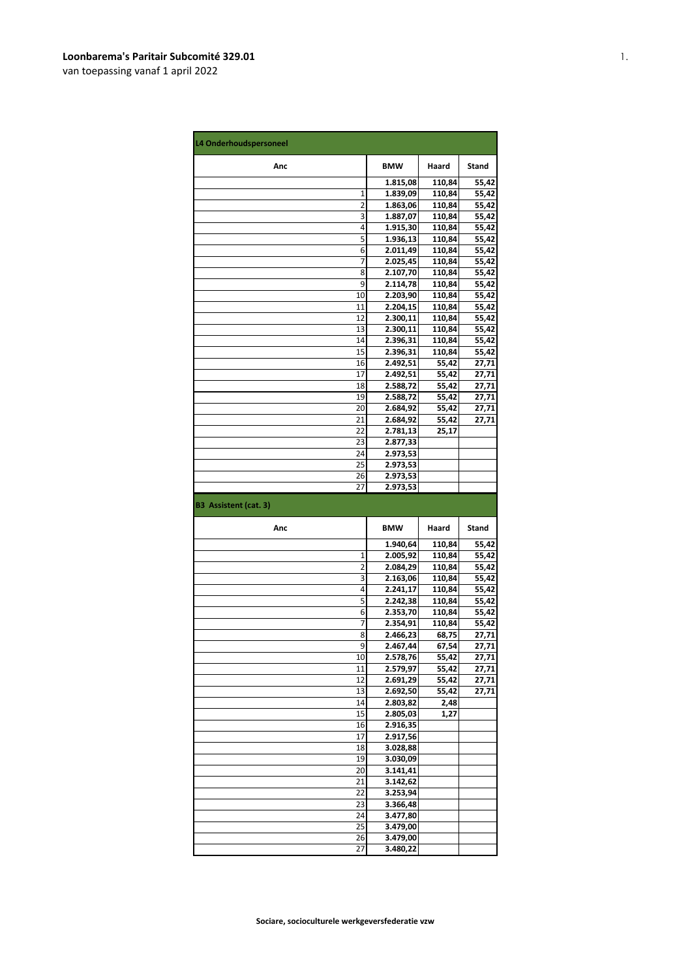| L4 Onderhoudspersoneel       |                      |                |                |
|------------------------------|----------------------|----------------|----------------|
| Anc                          | <b>BMW</b>           | Haard          | <b>Stand</b>   |
|                              | 1.815,08             | 110,84         | 55,42          |
| 1                            | 1.839,09             | 110,84         | 55,42          |
| 2                            | 1.863,06             | 110,84         | 55,42          |
| 3                            | 1.887,07             | 110,84         | 55,42          |
| 4                            | 1.915,30             | 110,84         | 55,42          |
| 5                            | 1.936,13             | 110,84         | 55,42          |
| 6                            | 2.011,49             | 110,84         | 55,42          |
| 7                            | 2.025,45             | 110,84         | 55,42          |
| 8                            | 2.107,70             | 110,84         | 55,42          |
| 9                            | 2.114,78             | 110,84         | 55,42          |
| 10                           | 2.203,90             | 110,84         | 55,42          |
| 11                           | 2.204,15             | 110,84         | 55,42          |
| 12                           | 2.300,11             | 110,84         | 55,42          |
| 13                           | 2.300,11             | 110,84         | 55,42          |
| 14                           | 2.396,31             | 110,84         | 55,42          |
| 15                           | 2.396,31             | 110,84         | 55,42          |
| 16<br>17                     | 2.492,51             | 55,42          | 27,71          |
|                              | 2.492,51             | 55,42          | 27,71          |
| 18<br>19                     | 2.588,72<br>2.588,72 | 55,42          | 27,71          |
| 20                           |                      | 55,42<br>55,42 | 27,71          |
| 21                           | 2.684,92             |                | 27,71          |
| 22                           | 2.684,92             | 55,42          | 27,71          |
| 23                           | 2.781,13             | 25,17          |                |
| 24                           | 2.877,33<br>2.973,53 |                |                |
| 25                           | 2.973,53             |                |                |
| 26                           | 2.973,53             |                |                |
| 27                           | 2.973,53             |                |                |
|                              |                      |                |                |
| <b>B3 Assistent (cat. 3)</b> |                      |                |                |
| Anc                          | <b>BMW</b>           | Haard          | Stand          |
|                              | 1.940,64             | 110,84         |                |
| 1                            | 2.005,92             | 110,84         | 55,42          |
| 2                            | 2.084,29             | 110,84         | 55,42          |
| 3                            | 2.163,06             | 110,84         | 55,42          |
| 4                            | 2.241,17             | 110,84         | 55,42          |
| 5                            | 2.242,38             | 110,84         | 55,42          |
| 6                            | 2.353,70             | 110,84         | 55,42<br>55,42 |
| 7                            | 2.354,91             | 110,84         | 55,42          |
| 8                            | 2.466,23             | 68,75          |                |
| 9                            | 2.467,44             | 67,54          | 27,71<br>27,71 |
| 10                           | 2.578,76             | 55,42          | 27,71          |
| 11                           | 2.579,97             | 55,42          | 27,71          |
| 12                           | 2.691,29             | 55,42          | 27,71          |
| 13                           | 2.692,50             | 55,42          | 27,71          |
| 14                           | 2.803,82             | 2,48           |                |
| 15<br>16                     | 2.805,03             | 1,27           |                |
| 17                           | 2.916,35             |                |                |
| 18                           | 2.917,56<br>3.028,88 |                |                |
| 19                           | 3.030,09             |                |                |
| 20                           | 3.141,41             |                |                |
| 21                           | 3.142,62             |                |                |
| 22                           | 3.253,94             |                |                |
| 23                           | 3.366,48             |                |                |
| 24                           | 3.477,80             |                |                |
| 25                           | 3.479,00             |                |                |
| 26                           | 3.479,00<br>3.480,22 |                |                |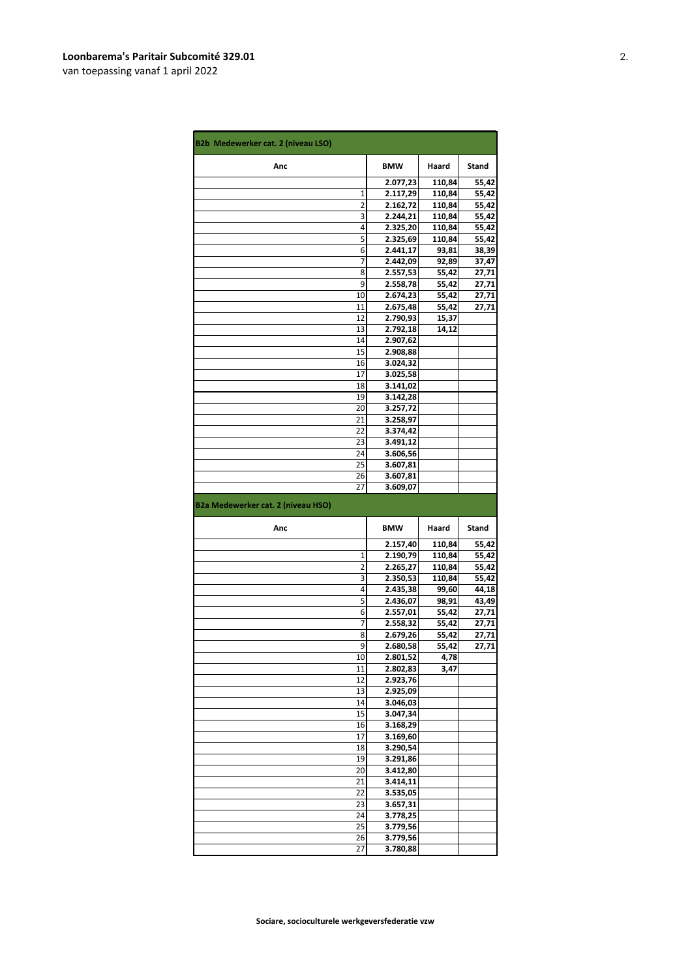| <b>B2b Medewerker cat. 2 (niveau LSO)</b> |                      |                |                |
|-------------------------------------------|----------------------|----------------|----------------|
| Anc                                       | <b>BMW</b>           | Haard          | Stand          |
|                                           | 2.077,23             | 110,84         | 55,42          |
| 1                                         | 2.117,29             | 110,84         | 55,42          |
| 2                                         | 2.162,72             | 110,84         | 55,42          |
| 3                                         | 2.244,21             | 110,84         | 55,42          |
| 4                                         | 2.325,20             | 110,84         | 55,42          |
| 5                                         | 2.325,69             | 110,84         | 55,42          |
| 6                                         | 2.441,17             | 93,81          | 38,39          |
| 7                                         | 2.442,09             | 92,89          | 37,47          |
| 8                                         | 2.557,53             | 55,42          | 27,71          |
| 9                                         | 2.558,78             | 55,42          | 27,71          |
| 10                                        | 2.674,23             | 55,42          | 27,71          |
| 11                                        | 2.675,48             | 55,42          | 27,71          |
| 12                                        | 2.790,93             | 15,37          |                |
| 13                                        | 2.792,18             | 14,12          |                |
| 14                                        | 2.907,62             |                |                |
| 15<br>16                                  | 2.908,88             |                |                |
| 17                                        | 3.024,32<br>3.025,58 |                |                |
| 18                                        | 3.141,02             |                |                |
| 19                                        | 3.142,28             |                |                |
| 20                                        | 3.257,72             |                |                |
| 21                                        | 3.258,97             |                |                |
| 22                                        | 3.374,42             |                |                |
| 23                                        | 3.491,12             |                |                |
| 24                                        | 3.606,56             |                |                |
| 25                                        | 3.607,81             |                |                |
| 26                                        | 3.607,81             |                |                |
| 27                                        | 3.609,07             |                |                |
|                                           |                      |                |                |
| B2a Medewerker cat. 2 (niveau HSO)        |                      |                |                |
| Anc                                       | <b>BMW</b>           | Haard          | Stand          |
|                                           | 2.157,40             | 110,84         | 55,42          |
| 1                                         | 2.190,79             | 110,84         | 55,42          |
| $\overline{2}$                            | 2.265,27             | 110,84         | 55,42          |
| 3<br>4                                    | 2.350,53             | 110,84         | 55,42          |
|                                           | 2.435,38             | 99,60          | 44,18          |
| 5<br>6                                    | 2.436,07             | 98,91          | 43,49          |
| 7                                         | 2.557,01             | 55,42<br>55,42 | 27,71<br>27,71 |
| 8                                         | 2.558,32<br>2.679,26 | 55,42          |                |
| 9                                         | 2.680,58             | 55,42          | 27,71          |
| 10                                        | 2.801,52             | 4,78           |                |
| 11                                        | 2.802,83             | 3,47           |                |
| 12                                        | 2.923,76             |                |                |
| 13                                        | 2.925,09             |                |                |
| 14                                        | 3.046,03             |                |                |
| 15                                        | 3.047,34             |                |                |
| 16                                        | 3.168,29             |                |                |
| 17                                        | 3.169,60             |                |                |
| 18                                        | 3.290,54             |                |                |
| 19                                        | 3.291,86             |                |                |
| 20                                        | 3.412,80             |                |                |
| 21                                        | 3.414,11             |                |                |
| 22                                        | 3.535,05             |                |                |
| 23                                        | 3.657,31             |                |                |
| 24                                        | 3.778,25             |                | 27,71          |
| 25                                        | 3.779,56             |                |                |
| 26<br>27                                  | 3.779,56<br>3.780,88 |                |                |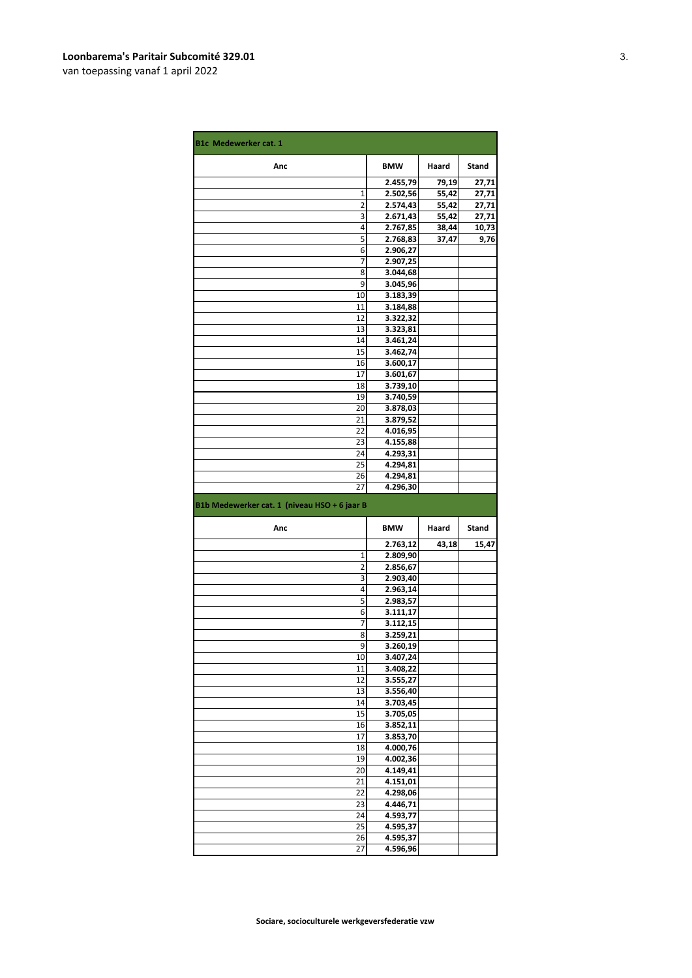| <b>B1c Medewerker cat. 1</b>                 |                      |       |       |
|----------------------------------------------|----------------------|-------|-------|
| Anc                                          | <b>BMW</b>           | Haard | Stand |
|                                              | 2.455,79             | 79,19 | 27,71 |
| 1                                            | 2.502,56             | 55,42 | 27,71 |
| 2                                            | 2.574,43             | 55,42 | 27,71 |
| 3                                            | 2.671,43             | 55,42 | 27,71 |
| 4                                            | 2.767,85             | 38,44 | 10,73 |
| 5                                            | 2.768,83             | 37,47 | 9,76  |
| 6                                            | 2.906,27             |       |       |
| 7                                            | 2.907,25             |       |       |
| 8                                            | 3.044,68             |       |       |
| 9                                            | 3.045,96             |       |       |
| 10                                           | 3.183,39             |       |       |
| 11                                           | 3.184,88             |       |       |
| 12                                           | 3.322,32             |       |       |
| 13                                           | 3.323,81             |       |       |
| 14                                           | 3.461,24             |       |       |
| 15                                           | 3.462,74             |       |       |
| 16                                           | 3.600,17             |       |       |
| 17                                           | 3.601,67             |       |       |
| 18                                           | 3.739,10             |       |       |
| 19                                           | 3.740,59             |       |       |
| 20                                           | 3.878,03             |       |       |
| 21                                           | 3.879,52             |       |       |
| 22                                           | 4.016,95             |       |       |
| 23                                           | 4.155,88             |       |       |
| 24                                           | 4.293,31             |       |       |
| 25                                           | 4.294,81             |       |       |
| 26                                           | 4.294,81             |       |       |
| 27                                           | 4.296,30             |       |       |
|                                              |                      |       |       |
| B1b Medewerker cat. 1 (niveau HSO + 6 jaar B |                      |       |       |
| Anc                                          | <b>BMW</b>           | Haard | Stand |
|                                              | 2.763,12             | 43,18 | 15,47 |
| 1                                            | 2.809,90             |       |       |
| 2                                            | 2.856,67             |       |       |
| 3                                            | 2.903,40             |       |       |
| 4                                            | 2.963,14             |       |       |
| 5                                            | 2.983,57             |       |       |
| 6                                            | 3.111,17             |       |       |
| 7                                            | 3.112,15             |       |       |
| 8                                            | 3.259,21             |       |       |
| 9                                            | 3.260,19             |       |       |
| 10                                           | 3.407,24             |       |       |
| 11                                           | 3.408,22             |       |       |
| 12                                           | 3.555,27             |       |       |
| 13                                           | 3.556,40             |       |       |
| 14                                           | 3.703,45             |       |       |
| 15                                           | 3.705,05             |       |       |
| 16                                           | 3.852,11             |       |       |
| 17                                           | 3.853,70             |       |       |
| 18                                           | 4.000,76             |       |       |
| 19                                           | 4.002,36             |       |       |
| 20                                           | 4.149,41             |       |       |
| 21                                           | 4.151,01             |       |       |
| 22                                           | 4.298,06             |       |       |
| 23                                           | 4.446,71             |       |       |
| 24                                           | 4.593,77             |       |       |
| 25                                           | 4.595,37             |       |       |
| 26<br>27                                     | 4.595,37<br>4.596,96 |       |       |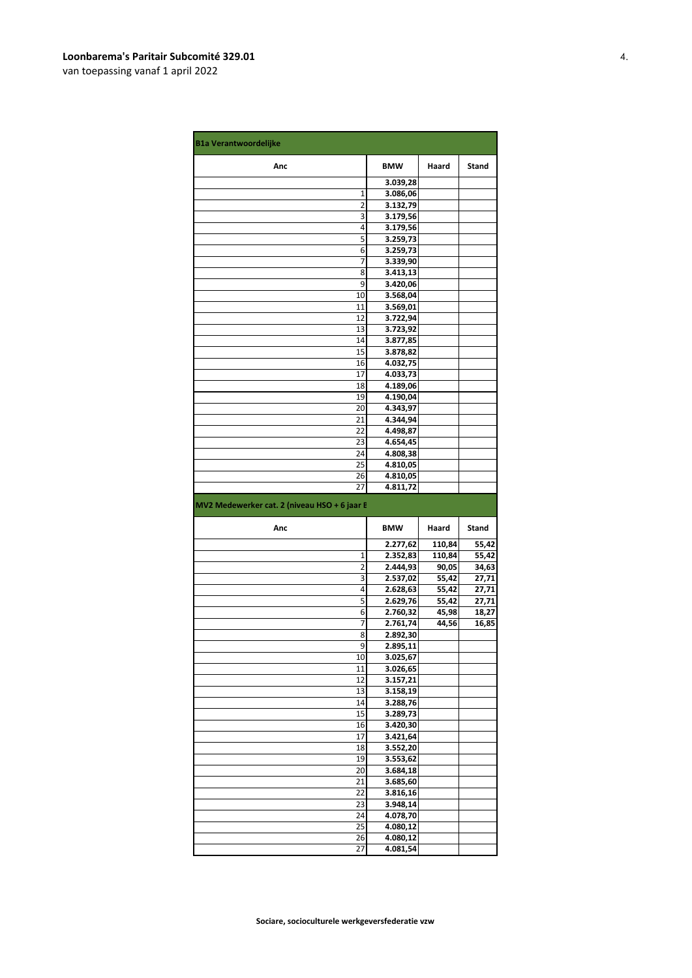| <b>B1a Verantwoordelijke</b>                 |                      |                |                |
|----------------------------------------------|----------------------|----------------|----------------|
| Anc                                          | <b>BMW</b>           | Haard          | Stand          |
|                                              | 3.039,28             |                |                |
| 1                                            | 3.086,06             |                |                |
| 2                                            | 3.132,79             |                |                |
| 3                                            | 3.179,56             |                |                |
| 4                                            | 3.179,56             |                |                |
| 5                                            | 3.259,73             |                |                |
| 6<br>7                                       | 3.259,73             |                |                |
| 8                                            | 3.339,90<br>3.413,13 |                |                |
| 9                                            | 3.420,06             |                |                |
| 10                                           | 3.568,04             |                |                |
| 11                                           | 3.569,01             |                |                |
| 12                                           | 3.722,94             |                |                |
| 13                                           | 3.723,92             |                |                |
| 14                                           | 3.877,85             |                |                |
| 15                                           | 3.878,82             |                |                |
| 16                                           | 4.032,75             |                |                |
| 17                                           | 4.033,73             |                |                |
| 18                                           | 4.189,06             |                |                |
| 19                                           | 4.190,04             |                |                |
| 20                                           | 4.343,97             |                |                |
| 21                                           | 4.344,94             |                |                |
| 22                                           | 4.498,87             |                |                |
| 23<br>24                                     | 4.654,45             |                |                |
| 25                                           | 4.808,38<br>4.810,05 |                |                |
| 26                                           | 4.810,05             |                |                |
| 27                                           | 4.811,72             |                |                |
|                                              |                      |                |                |
| MV2 Medewerker cat. 2 (niveau HSO + 6 jaar E |                      |                |                |
| Anc                                          | <b>BMW</b>           | Haard          | Stand          |
|                                              | 2.277,62             | 110,84         | 55,42          |
| 1<br>2                                       | 2.352,83<br>2.444,93 | 110,84         | 55,42          |
| 3                                            | 2.537,02             | 90,05<br>55,42 | 34,63<br>27,71 |
| 4                                            | 2.628,63             | 55,42          | 27,71          |
| 5                                            | 2.629,76             | 55,42          | 27,71          |
| 6                                            | 2.760,32             | 45,98          | 18,27          |
| 7                                            | 2.761,74             | 44,56          | 16,85          |
| 8                                            | 2.892,30             |                |                |
| 9                                            | 2.895,11             |                |                |
| 10                                           | 3.025,67             |                |                |
| 11                                           | 3.026,65             |                |                |
| 12                                           | 3.157,21             |                |                |
| 13                                           | 3.158,19             |                |                |
| 14<br>15                                     | 3.288,76             |                |                |
| 16                                           | 3.289,73<br>3.420,30 |                |                |
| 17                                           | 3.421,64             |                |                |
| 18                                           | 3.552,20             |                |                |
| 19                                           | 3.553,62             |                |                |
| 20                                           | 3.684,18             |                |                |
| 21                                           | 3.685,60             |                |                |
| 22                                           | 3.816,16             |                |                |
| 23                                           | 3.948,14             |                |                |
| 24                                           | 4.078,70             |                |                |
| 25                                           | 4.080,12             |                |                |
| 26<br>27                                     | 4.080,12<br>4.081,54 |                |                |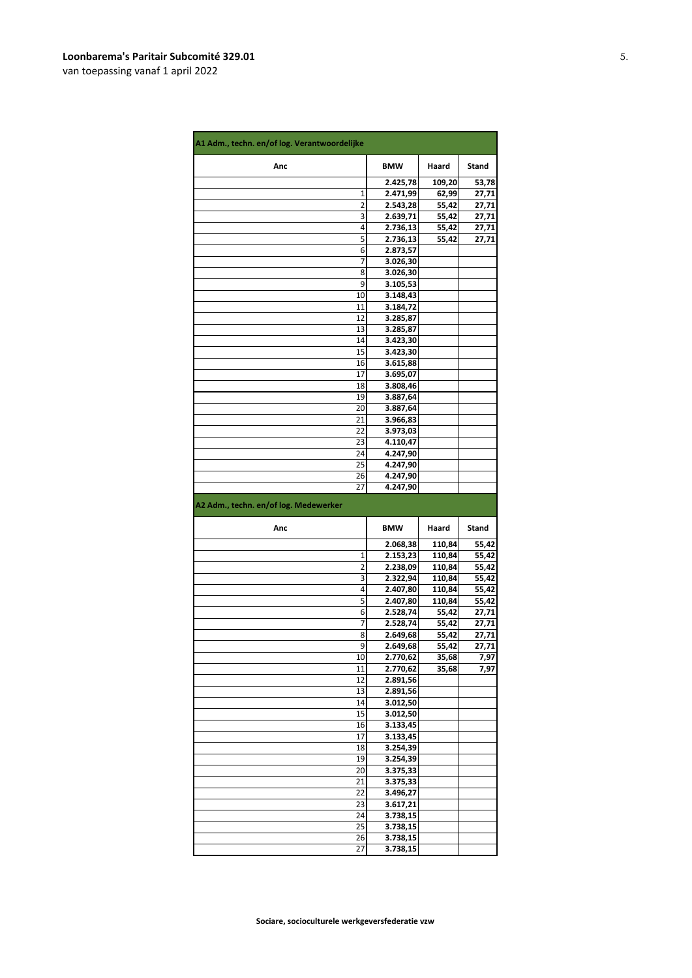| A1 Adm., techn. en/of log. Verantwoordelijke |                      |        |       |
|----------------------------------------------|----------------------|--------|-------|
| Anc                                          | <b>BMW</b>           | Haard  | Stand |
|                                              | 2.425,78             | 109,20 | 53,78 |
| 1                                            | 2.471,99             | 62,99  | 27,71 |
| 2                                            | 2.543,28             | 55,42  | 27,71 |
| 3                                            | 2.639,71             | 55,42  | 27,71 |
| 4                                            | 2.736,13             | 55,42  | 27,71 |
| 5                                            | 2.736,13             | 55,42  | 27,71 |
| 6                                            | 2.873,57             |        |       |
| 7                                            | 3.026,30             |        |       |
| 8                                            | 3.026,30             |        |       |
| 9<br>10                                      | 3.105,53             |        |       |
| 11                                           | 3.148,43             |        |       |
| 12                                           | 3.184,72<br>3.285,87 |        |       |
| 13                                           | 3.285,87             |        |       |
| 14                                           | 3.423,30             |        |       |
| 15                                           | 3.423,30             |        |       |
| 16                                           | 3.615,88             |        |       |
| 17                                           | 3.695,07             |        |       |
| 18                                           | 3.808,46             |        |       |
| 19                                           | 3.887,64             |        |       |
| 20                                           | 3.887,64             |        |       |
| 21                                           | 3.966,83             |        |       |
| 22                                           | 3.973,03             |        |       |
| 23                                           | 4.110,47             |        |       |
| 24                                           | 4.247,90             |        |       |
| 25                                           | 4.247,90             |        |       |
| 26                                           | 4.247,90             |        |       |
| 27                                           | 4.247,90             |        |       |
| A2 Adm., techn. en/of log. Medewerker        |                      |        |       |
|                                              |                      |        |       |
| Anc                                          | <b>BMW</b>           | Haard  | Stand |
|                                              | 2.068,38             | 110,84 | 55,42 |
| 1                                            | 2.153,23             | 110,84 | 55,42 |
| 2                                            | 2.238,09             | 110,84 | 55,42 |
| 3                                            | 2.322,94             | 110,84 | 55,42 |
| 4                                            | 2.407,80             | 110,84 | 55,42 |
| 5                                            | 2.407,80             | 110,84 | 55,42 |
| 6                                            | 2.528,74             | 55,42  | 27,71 |
| 7                                            | 2.528,74             | 55,42  | 27,71 |
| 8                                            | 2.649,68             | 55,42  | 27,71 |
| 9                                            | 2.649,68             | 55,42  | 27,71 |
| 10                                           | 2.770,62             | 35,68  | 7,97  |
| 11                                           | 2.770,62             | 35,68  | 7,97  |
| 12<br>13                                     | 2.891,56             |        |       |
| 14                                           | 2.891,56<br>3.012,50 |        |       |
| 15                                           | 3.012,50             |        |       |
| 16                                           | 3.133,45             |        |       |
| 17                                           | 3.133,45             |        |       |
| 18                                           | 3.254,39             |        |       |
| 19                                           | 3.254,39             |        |       |
| 20                                           | 3.375,33             |        |       |
| 21                                           | 3.375,33             |        |       |
| 22                                           | 3.496,27             |        |       |
| 23                                           | 3.617,21             |        |       |
| 24                                           | 3.738,15             |        |       |
| 25                                           | 3.738,15             |        |       |
| 26<br>27                                     | 3.738,15<br>3.738,15 |        |       |